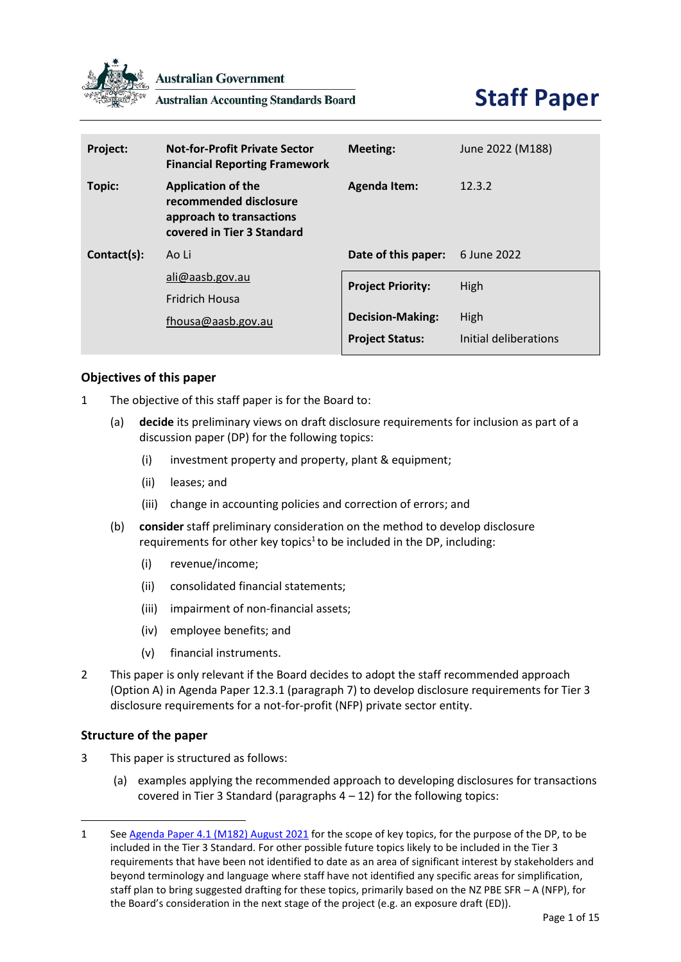

**Australian Government** 

**Australian Accounting Standards Board** 



| Project:    | <b>Not-for-Profit Private Sector</b><br><b>Financial Reporting Framework</b>                                  | <b>Meeting:</b>          | June 2022 (M188)      |
|-------------|---------------------------------------------------------------------------------------------------------------|--------------------------|-----------------------|
| Topic:      | <b>Application of the</b><br>recommended disclosure<br>approach to transactions<br>covered in Tier 3 Standard | <b>Agenda Item:</b>      | 12.3.2                |
| Contact(s): | Ao Li                                                                                                         | Date of this paper:      | 6 June 2022           |
|             | ali@aasb.gov.au                                                                                               | <b>Project Priority:</b> | High                  |
|             | <b>Fridrich Housa</b>                                                                                         |                          |                       |
|             | fhousa@aasb.gov.au                                                                                            | <b>Decision-Making:</b>  | High                  |
|             |                                                                                                               | <b>Project Status:</b>   | Initial deliberations |

# **Objectives of this paper**

- 1 The objective of this staff paper is for the Board to:
	- (a) **decide** its preliminary views on draft disclosure requirements for inclusion as part of a discussion paper (DP) for the following topics:
		- (i) investment property and property, plant & equipment;
		- (ii) leases; and
		- (iii) change in accounting policies and correction of errors; and
	- (b) **consider** staff preliminary consideration on the method to develop disclosure requirements for other key topics<sup>1</sup> to be included in the DP, including:
		- (i) revenue/income;
		- (ii) consolidated financial statements;
		- (iii) impairment of non-financial assets;
		- (iv) employee benefits; and
		- (v) financial instruments.
- 2 This paper is only relevant if the Board decides to adopt the staff recommended approach (Option A) in Agenda Paper 12.3.1 (paragraph 7) to develop disclosure requirements for Tier 3 disclosure requirements for a not-for-profit (NFP) private sector entity.

#### **Structure of the paper**

- 3 This paper is structured as follows:
	- (a) examples applying the recommended approach to developing disclosures for transactions covered in Tier 3 Standard (paragraphs  $4 - 12$ ) for the following topics:

<sup>1</sup> See [Agenda Paper 4.1 \(M182\) August 2021](https://www.aasb.gov.au/media/hd0kig2j/4-1_sp_covermemo_m182_pp.pdf) for the scope of key topics, for the purpose of the DP, to be included in the Tier 3 Standard. For other possible future topics likely to be included in the Tier 3 requirements that have been not identified to date as an area of significant interest by stakeholders and beyond terminology and language where staff have not identified any specific areas for simplification, staff plan to bring suggested drafting for these topics, primarily based on the NZ PBE SFR – A (NFP), for the Board's consideration in the next stage of the project (e.g. an exposure draft (ED)).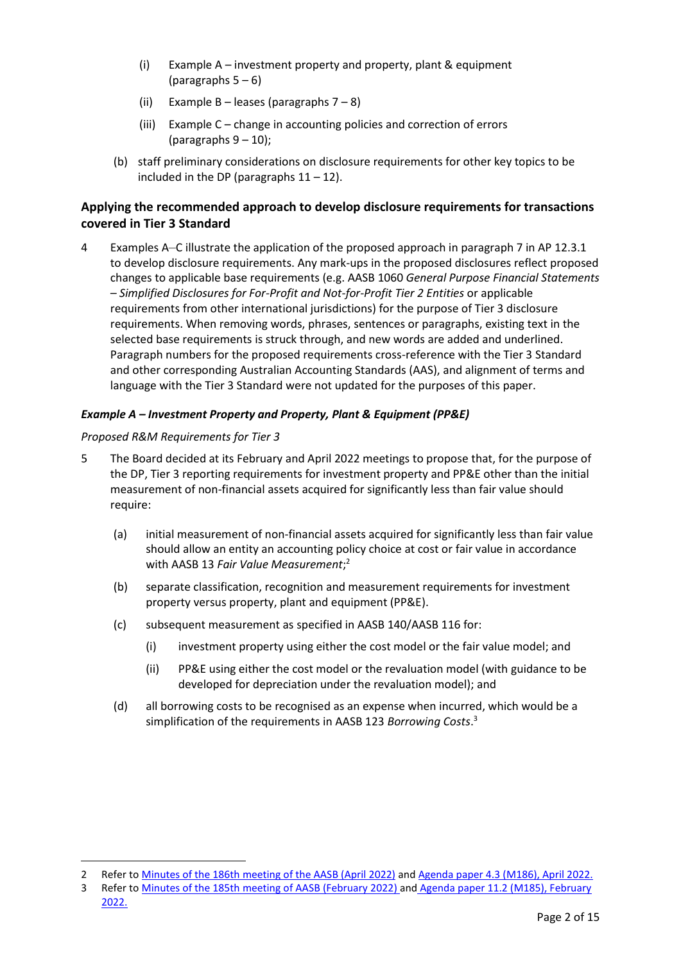- (i) Example A investment property and property, plant & equipment (paragraphs  $5 - 6$  $5 - 6$ )
- (ii) Example B leases (paragraphs  $7 8$  $7 8$ )
- (iii) Example C change in accounting policies and correction of errors (paragraphs  $9 - 10$  $9 - 10$ );
- (b) staff preliminary considerations on disclosure requirements for other key topics to be included in the DP (paragraphs  $11 - 12$  $11 - 12$ ).

# **Applying the recommended approach to develop disclosure requirements for transactions covered in Tier 3 Standard**

<span id="page-1-0"></span>4 Examples A–C illustrate the application of the proposed approach in paragraph 7 in AP 12.3.1 to develop disclosure requirements. Any mark-ups in the proposed disclosures reflect proposed changes to applicable base requirements (e.g. AASB 1060 *General Purpose Financial Statements – Simplified Disclosures for For-Profit and Not-for-Profit Tier 2 Entities* or applicable requirements from other international jurisdictions) for the purpose of Tier 3 disclosure requirements. When removing words, phrases, sentences or paragraphs, existing text in the selected base requirements is struck through, and new words are added and underlined. Paragraph numbers for the proposed requirements cross-reference with the Tier 3 Standard and other corresponding Australian Accounting Standards (AAS), and alignment of terms and language with the Tier 3 Standard were not updated for the purposes of this paper.

# *Example A – Investment Property and Property, Plant & Equipment (PP&E)*

# *Proposed R&M Requirements for Tier 3*

- <span id="page-1-1"></span>5 The Board decided at its February and April 2022 meetings to propose that, for the purpose of the DP, Tier 3 reporting requirements for investment property and PP&E other than the initial measurement of non-financial assets acquired for significantly less than fair value should require:
	- (a) initial measurement of non-financial assets acquired for significantly less than fair value should allow an entity an accounting policy choice at cost or fair value in accordance with AASB 13 *Fair Value Measurement*; 2
	- (b) separate classification, recognition and measurement requirements for investment property versus property, plant and equipment (PP&E).
	- (c) subsequent measurement as specified in AASB 140/AASB 116 for:
		- (i) investment property using either the cost model or the fair value model; and
		- (ii) PP&E using either the cost model or the revaluation model (with guidance to be developed for depreciation under the revaluation model); and
	- (d) all borrowing costs to be recognised as an expense when incurred, which would be a simplification of the requirements in AASB 123 *Borrowing Costs*. 3

<sup>2</sup> Refer to [Minutes of the 186th meeting of the AASB \(April 2022\)](https://aasb.gov.au/media/2nxbmcz2/aasbapprovedminutesm186apr22.pdf) and [Agenda paper 4.3 \(M186\), April 2022.](https://www.aasb.gov.au/media/wo0ladv5/04-3_sp_tier3revenuedonatednfa_m186_pp.pdf)

<sup>3</sup> Refer to [Minutes of the 185th meeting of AASB \(February 2022\)](https://aasb.gov.au/media/oaelu4dc/aasbapprovedminutesm185feb22.pdf) and [Agenda paper 11.2 \(M185\), February](https://www.aasb.gov.au/media/haih540j/11-2_sp_tier3investpropertyppe_m185_pp.pdf)  [2022.](https://www.aasb.gov.au/media/haih540j/11-2_sp_tier3investpropertyppe_m185_pp.pdf)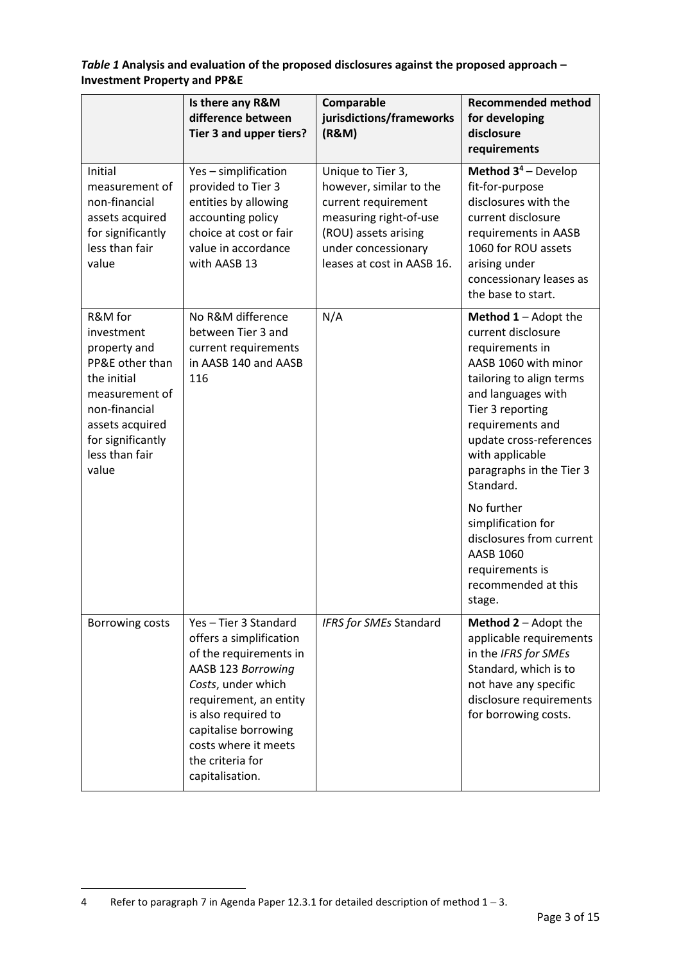<span id="page-2-0"></span>*Table 1* **Analysis and evaluation of the proposed disclosures against the proposed approach – Investment Property and PP&E**

|                                                                                                                                                                               | Is there any R&M<br>difference between<br>Tier 3 and upper tiers?                                                                                                                                                                                            | Comparable<br>jurisdictions/frameworks<br>(R&M)                                                                                                                            | <b>Recommended method</b><br>for developing<br>disclosure<br>requirements                                                                                                                                                                                                                                                                                                                                         |
|-------------------------------------------------------------------------------------------------------------------------------------------------------------------------------|--------------------------------------------------------------------------------------------------------------------------------------------------------------------------------------------------------------------------------------------------------------|----------------------------------------------------------------------------------------------------------------------------------------------------------------------------|-------------------------------------------------------------------------------------------------------------------------------------------------------------------------------------------------------------------------------------------------------------------------------------------------------------------------------------------------------------------------------------------------------------------|
| Initial<br>measurement of<br>non-financial<br>assets acquired<br>for significantly<br>less than fair<br>value                                                                 | Yes - simplification<br>provided to Tier 3<br>entities by allowing<br>accounting policy<br>choice at cost or fair<br>value in accordance<br>with AASB 13                                                                                                     | Unique to Tier 3,<br>however, similar to the<br>current requirement<br>measuring right-of-use<br>(ROU) assets arising<br>under concessionary<br>leases at cost in AASB 16. | <b>Method <math>3^4</math> – Develop</b><br>fit-for-purpose<br>disclosures with the<br>current disclosure<br>requirements in AASB<br>1060 for ROU assets<br>arising under<br>concessionary leases as<br>the base to start.                                                                                                                                                                                        |
| R&M for<br>investment<br>property and<br>PP&E other than<br>the initial<br>measurement of<br>non-financial<br>assets acquired<br>for significantly<br>less than fair<br>value | No R&M difference<br>between Tier 3 and<br>current requirements<br>in AASB 140 and AASB<br>116                                                                                                                                                               | N/A                                                                                                                                                                        | <b>Method <math>1 -</math></b> Adopt the<br>current disclosure<br>requirements in<br>AASB 1060 with minor<br>tailoring to align terms<br>and languages with<br>Tier 3 reporting<br>requirements and<br>update cross-references<br>with applicable<br>paragraphs in the Tier 3<br>Standard.<br>No further<br>simplification for<br>disclosures from current<br>AASB 1060<br>requirements is<br>recommended at this |
| Borrowing costs                                                                                                                                                               | Yes-Tier 3 Standard<br>offers a simplification<br>of the requirements in<br>AASB 123 Borrowing<br>Costs, under which<br>requirement, an entity<br>is also required to<br>capitalise borrowing<br>costs where it meets<br>the criteria for<br>capitalisation. | IFRS for SMEs Standard                                                                                                                                                     | stage.<br><b>Method <math>2 -</math></b> Adopt the<br>applicable requirements<br>in the IFRS for SMEs<br>Standard, which is to<br>not have any specific<br>disclosure requirements<br>for borrowing costs.                                                                                                                                                                                                        |

<sup>4</sup> Refer to paragraph 7 in Agenda Paper 12.3.1 for detailed description of method  $1 - 3$ .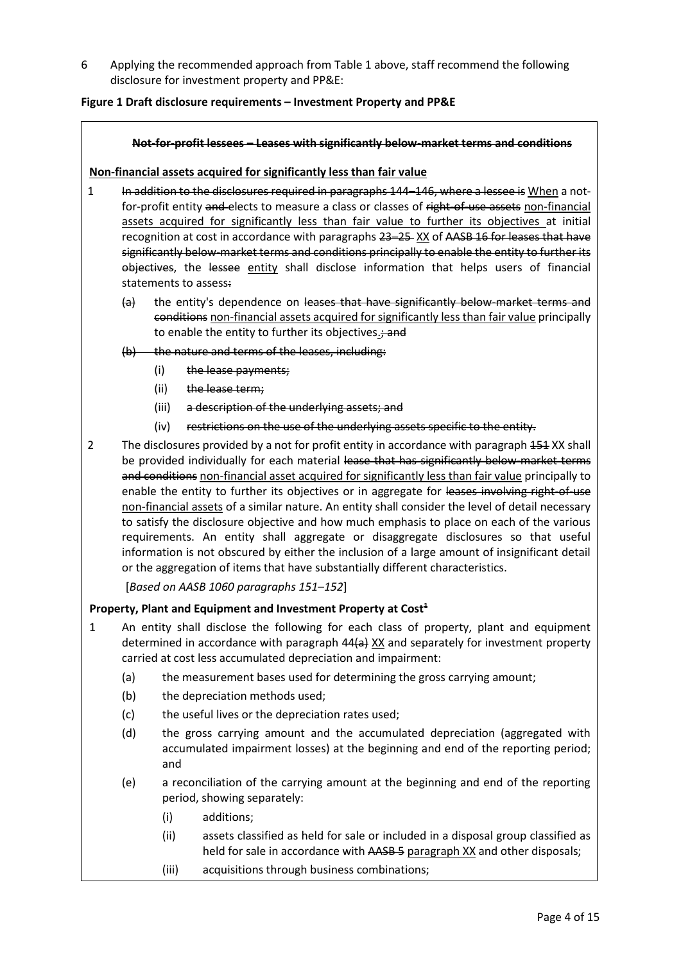<span id="page-3-0"></span>6 Applying the recommended approach from [Table 1](#page-2-0) above, staff recommend the following disclosure for investment property and PP&E:

### <span id="page-3-1"></span>**Figure 1 Draft disclosure requirements – Investment Property and PP&E**

#### **Not-for-profit lessees – Leases with significantly below-market terms and conditions**

#### **Non-financial assets acquired for significantly less than fair value**

- 1 In addition to the disclosures required in paragraphs 144–146, where a lessee is When a notfor-profit entity and elects to measure a class or classes of right-of-use assets non-financial assets acquired for significantly less than fair value to further its objectives at initial recognition at cost in accordance with paragraphs 23–25-XX of AASB 16 for leases that have significantly below-market terms and conditions principally to enable the entity to further its objectives, the lessee entity shall disclose information that helps users of financial statements to assess:
	- (a) the entity's dependence on leases that have significantly below-market terms and conditions non-financial assets acquired for significantly less than fair value principally to enable the entity to further its objectives.; and
	- (b) the nature and terms of the leases, including:
		- (i) the lease payments;
		- (ii) the lease term;
		- (iii) a description of the underlying assets; and
		- (iv) restrictions on the use of the underlying assets specific to the entity.
- 2 The disclosures provided by a not for profit entity in accordance with paragraph 454 XX shall be provided individually for each material lease that has significantly below-market terms and conditions non-financial asset acquired for significantly less than fair value principally to enable the entity to further its objectives or in aggregate for leases involving right-of-use non-financial assets of a similar nature. An entity shall consider the level of detail necessary to satisfy the disclosure objective and how much emphasis to place on each of the various requirements. An entity shall aggregate or disaggregate disclosures so that useful information is not obscured by either the inclusion of a large amount of insignificant detail or the aggregation of items that have substantially different characteristics.

[*Based on AASB 1060 paragraphs 151–152*]

#### **Property, Plant and Equipment and Investment Property at Cost<sup>1</sup>**

- 1 An entity shall disclose the following for each class of property, plant and equipment determined in accordance with paragraph 44(a) XX and separately for investment property carried at cost less accumulated depreciation and impairment:
	- (a) the measurement bases used for determining the gross carrying amount;
	- (b) the depreciation methods used;
	- (c) the useful lives or the depreciation rates used;
	- (d) the gross carrying amount and the accumulated depreciation (aggregated with accumulated impairment losses) at the beginning and end of the reporting period; and
	- (e) a reconciliation of the carrying amount at the beginning and end of the reporting period, showing separately:
		- (i) additions;
		- (ii) assets classified as held for sale or included in a disposal group classified as held for sale in accordance with AASB 5 paragraph XX and other disposals;
		- (iii) acquisitions through business combinations;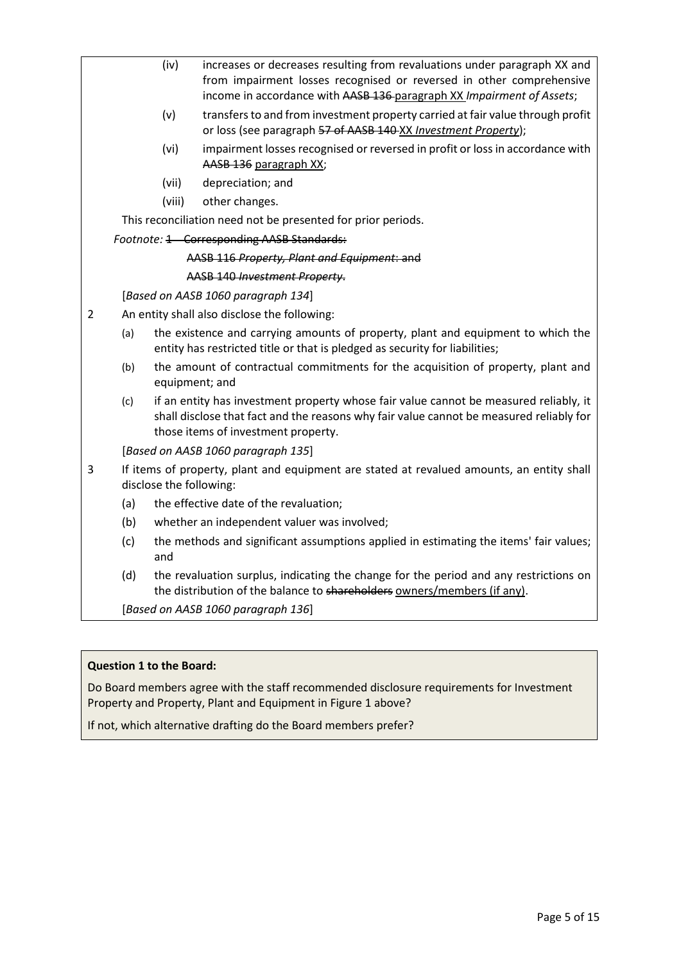|                | (iv)                                                                                               | increases or decreases resulting from revaluations under paragraph XX and<br>from impairment losses recognised or reversed in other comprehensive<br>income in accordance with AASB 136-paragraph XX Impairment of Assets; |  |
|----------------|----------------------------------------------------------------------------------------------------|----------------------------------------------------------------------------------------------------------------------------------------------------------------------------------------------------------------------------|--|
|                | (v)                                                                                                | transfers to and from investment property carried at fair value through profit<br>or loss (see paragraph 57 of AASB 140-XX Investment Property);                                                                           |  |
|                | (vi)                                                                                               | impairment losses recognised or reversed in profit or loss in accordance with<br>AASB 136 paragraph XX;                                                                                                                    |  |
|                | (vii)                                                                                              | depreciation; and                                                                                                                                                                                                          |  |
|                | (viii)                                                                                             | other changes.                                                                                                                                                                                                             |  |
|                |                                                                                                    | This reconciliation need not be presented for prior periods.                                                                                                                                                               |  |
|                |                                                                                                    | Footnote: 1 Corresponding AASB Standards:                                                                                                                                                                                  |  |
|                |                                                                                                    | AASB 116 Property, Plant and Equipment: and                                                                                                                                                                                |  |
|                |                                                                                                    | AASB 140 Investment Property.                                                                                                                                                                                              |  |
|                |                                                                                                    | [Based on AASB 1060 paragraph 134]                                                                                                                                                                                         |  |
| $\overline{2}$ |                                                                                                    | An entity shall also disclose the following:                                                                                                                                                                               |  |
| (a)            |                                                                                                    | the existence and carrying amounts of property, plant and equipment to which the<br>entity has restricted title or that is pledged as security for liabilities;                                                            |  |
| (b)            | the amount of contractual commitments for the acquisition of property, plant and<br>equipment; and |                                                                                                                                                                                                                            |  |
| (c)            |                                                                                                    | if an entity has investment property whose fair value cannot be measured reliably, it<br>shall disclose that fact and the reasons why fair value cannot be measured reliably for<br>those items of investment property.    |  |
|                |                                                                                                    | [Based on AASB 1060 paragraph 135]                                                                                                                                                                                         |  |
| 3              | disclose the following:                                                                            | If items of property, plant and equipment are stated at revalued amounts, an entity shall                                                                                                                                  |  |
| (a)            |                                                                                                    | the effective date of the revaluation;                                                                                                                                                                                     |  |
| (b)            |                                                                                                    | whether an independent valuer was involved;                                                                                                                                                                                |  |
| (c)            | and                                                                                                | the methods and significant assumptions applied in estimating the items' fair values;                                                                                                                                      |  |
| (d)            |                                                                                                    | the revaluation surplus, indicating the change for the period and any restrictions on<br>the distribution of the balance to shareholders owners/members (if any).                                                          |  |

[*Based on AASB 1060 paragraph 136*]

# **Question 1 to the Board:**

Do Board members agree with the staff recommended disclosure requirements for Investment Property and Property, Plant and Equipment i[n Figure 1](#page-3-1) above?

If not, which alternative drafting do the Board members prefer?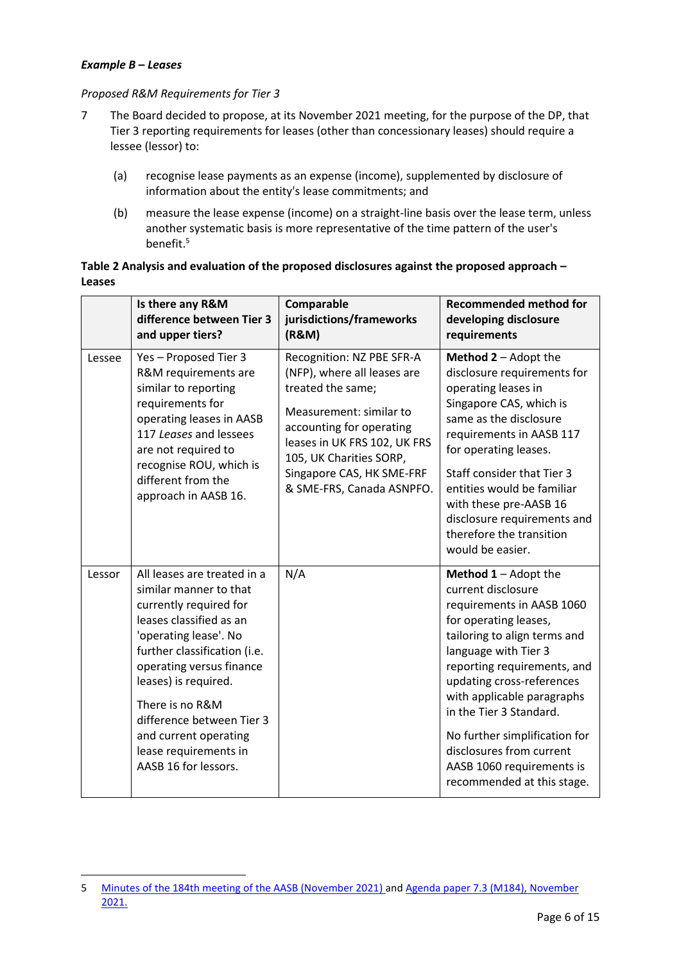#### *Example B – Leases*

#### *Proposed R&M Requirements for Tier 3*

- <span id="page-5-0"></span>7 The Board decided to propose, at its November 2021 meeting, for the purpose of the DP, that Tier 3 reporting requirements for leases (other than concessionary leases) should require a lessee (lessor) to:
	- (a) recognise lease payments as an expense (income), supplemented by disclosure of information about the entity's lease commitments; and
	- (b) measure the lease expense (income) on a straight-line basis over the lease term, unless another systematic basis is more representative of the time pattern of the user's benefit.<sup>5</sup>

# <span id="page-5-1"></span>**Table 2 Analysis and evaluation of the proposed disclosures against the proposed approach – Leases**

|        | Is there any R&M<br>difference between Tier 3<br>and upper tiers?                                                                                                                                                                                                                                                                                 | Comparable<br>jurisdictions/frameworks<br>(R&M)                                                                                                                                                                                                           | <b>Recommended method for</b><br>developing disclosure<br>requirements                                                                                                                                                                                                                                                                                                                                       |
|--------|---------------------------------------------------------------------------------------------------------------------------------------------------------------------------------------------------------------------------------------------------------------------------------------------------------------------------------------------------|-----------------------------------------------------------------------------------------------------------------------------------------------------------------------------------------------------------------------------------------------------------|--------------------------------------------------------------------------------------------------------------------------------------------------------------------------------------------------------------------------------------------------------------------------------------------------------------------------------------------------------------------------------------------------------------|
| Lessee | Yes - Proposed Tier 3<br>R&M requirements are<br>similar to reporting<br>requirements for<br>operating leases in AASB<br>117 Leases and lessees<br>are not required to<br>recognise ROU, which is<br>different from the<br>approach in AASB 16.                                                                                                   | Recognition: NZ PBE SFR-A<br>(NFP), where all leases are<br>treated the same;<br>Measurement: similar to<br>accounting for operating<br>leases in UK FRS 102, UK FRS<br>105, UK Charities SORP,<br>Singapore CAS, HK SME-FRF<br>& SME-FRS, Canada ASNPFO. | Method 2 - Adopt the<br>disclosure requirements for<br>operating leases in<br>Singapore CAS, which is<br>same as the disclosure<br>requirements in AASB 117<br>for operating leases.<br>Staff consider that Tier 3<br>entities would be familiar<br>with these pre-AASB 16<br>disclosure requirements and<br>therefore the transition<br>would be easier.                                                    |
| Lessor | All leases are treated in a<br>similar manner to that<br>currently required for<br>leases classified as an<br>'operating lease'. No<br>further classification (i.e.<br>operating versus finance<br>leases) is required.<br>There is no R&M<br>difference between Tier 3<br>and current operating<br>lease requirements in<br>AASB 16 for lessors. | N/A                                                                                                                                                                                                                                                       | <b>Method 1</b> - Adopt the<br>current disclosure<br>requirements in AASB 1060<br>for operating leases,<br>tailoring to align terms and<br>language with Tier 3<br>reporting requirements, and<br>updating cross-references<br>with applicable paragraphs<br>in the Tier 3 Standard.<br>No further simplification for<br>disclosures from current<br>AASB 1060 requirements is<br>recommended at this stage. |

<sup>5</sup> [Minutes of the 184th meeting of the AASB \(November 2021\)](https://aasb.gov.au/media/tvjl3hbs/aasbapprovedminutesm184_nov21.pdf) and Agenda paper 7.3 (M184), November [2021.](https://www.aasb.gov.au/media/vzwftqgu/7-3_sp_tier3_leases_m184_pp.pdf)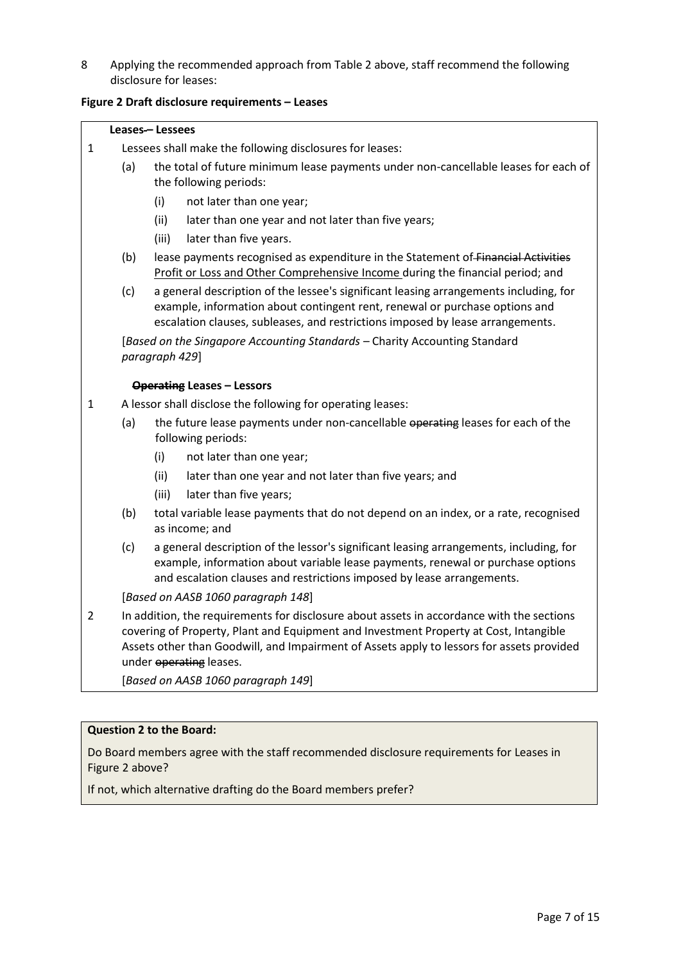<span id="page-6-0"></span>8 Applying the recommended approach from [Table 2](#page-5-1) above, staff recommend the following disclosure for leases:

# <span id="page-6-1"></span>**Figure 2 Draft disclosure requirements – Leases**

| Leases-Lessees |  |
|----------------|--|
|----------------|--|

Г

| $\mathbf{1}$                                                                                                                                                                                                                                                                                                                 |  |  |
|------------------------------------------------------------------------------------------------------------------------------------------------------------------------------------------------------------------------------------------------------------------------------------------------------------------------------|--|--|
| Lessees shall make the following disclosures for leases:                                                                                                                                                                                                                                                                     |  |  |
| (a)<br>the total of future minimum lease payments under non-cancellable leases for each of<br>the following periods:                                                                                                                                                                                                         |  |  |
| (i)<br>not later than one year;                                                                                                                                                                                                                                                                                              |  |  |
| (ii)<br>later than one year and not later than five years;                                                                                                                                                                                                                                                                   |  |  |
| (iii)<br>later than five years.                                                                                                                                                                                                                                                                                              |  |  |
| (b)<br>lease payments recognised as expenditure in the Statement of Financial Activities<br>Profit or Loss and Other Comprehensive Income during the financial period; and                                                                                                                                                   |  |  |
| (c)<br>a general description of the lessee's significant leasing arrangements including, for<br>example, information about contingent rent, renewal or purchase options and<br>escalation clauses, subleases, and restrictions imposed by lease arrangements.                                                                |  |  |
| [Based on the Singapore Accounting Standards - Charity Accounting Standard<br>paragraph 429]                                                                                                                                                                                                                                 |  |  |
| <b>Operating Leases - Lessors</b>                                                                                                                                                                                                                                                                                            |  |  |
| A lessor shall disclose the following for operating leases:<br>1                                                                                                                                                                                                                                                             |  |  |
| (a)<br>the future lease payments under non-cancellable operating leases for each of the<br>following periods:                                                                                                                                                                                                                |  |  |
| (i)<br>not later than one year;                                                                                                                                                                                                                                                                                              |  |  |
| (ii)<br>later than one year and not later than five years; and                                                                                                                                                                                                                                                               |  |  |
| later than five years;<br>(iii)                                                                                                                                                                                                                                                                                              |  |  |
| (b)<br>total variable lease payments that do not depend on an index, or a rate, recognised<br>as income; and                                                                                                                                                                                                                 |  |  |
| (c)<br>a general description of the lessor's significant leasing arrangements, including, for<br>example, information about variable lease payments, renewal or purchase options<br>and escalation clauses and restrictions imposed by lease arrangements.                                                                   |  |  |
| [Based on AASB 1060 paragraph 148]                                                                                                                                                                                                                                                                                           |  |  |
| $\overline{2}$<br>In addition, the requirements for disclosure about assets in accordance with the sections<br>covering of Property, Plant and Equipment and Investment Property at Cost, Intangible<br>Assets other than Goodwill, and Impairment of Assets apply to lessors for assets provided<br>under operating leases. |  |  |
| [Based on AASB 1060 paragraph 149]                                                                                                                                                                                                                                                                                           |  |  |

# **Question 2 to the Board:**

Do Board members agree with the staff recommended disclosure requirements for Leases in [Figure 2](#page-6-1) above?

If not, which alternative drafting do the Board members prefer?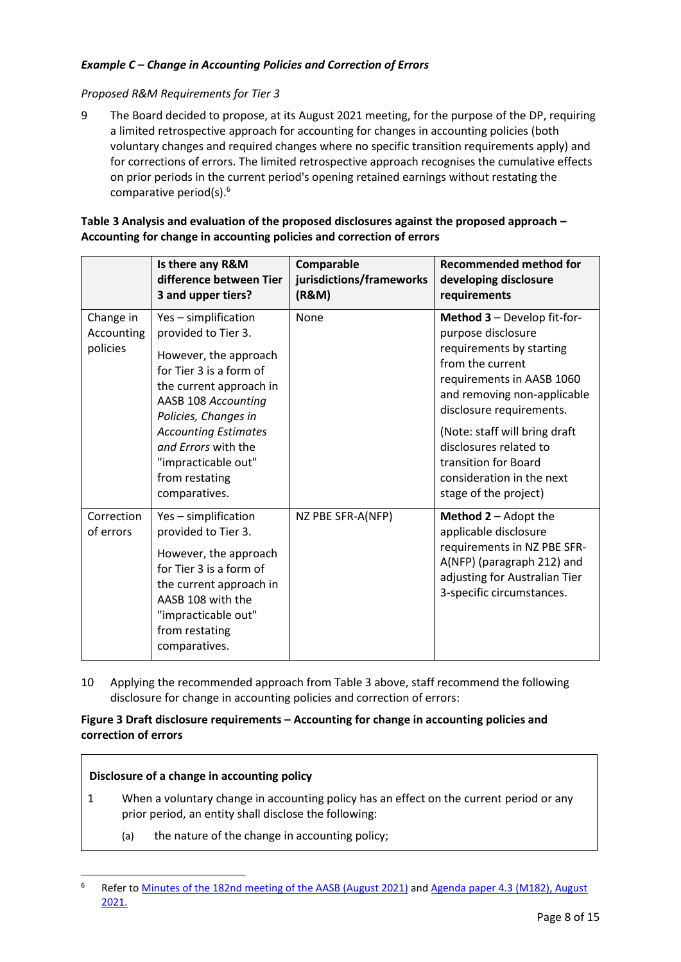# *Example C – Change in Accounting Policies and Correction of Errors*

#### *Proposed R&M Requirements for Tier 3*

<span id="page-7-0"></span>9 The Board decided to propose, at its August 2021 meeting, for the purpose of the DP, requiring a limited retrospective approach for accounting for changes in accounting policies (both voluntary changes and required changes where no specific transition requirements apply) and for corrections of errors. The limited retrospective approach recognises the cumulative effects on prior periods in the current period's opening retained earnings without restating the comparative period(s).<sup>6</sup>

### <span id="page-7-2"></span>**Table 3 Analysis and evaluation of the proposed disclosures against the proposed approach – Accounting for change in accounting policies and correction of errors**

|                                     | Is there any R&M<br>difference between Tier<br>3 and upper tiers?                                                                                                                                                                                                                         | Comparable<br>jurisdictions/frameworks<br>(R&M) | <b>Recommended method for</b><br>developing disclosure<br>requirements                                                                                                                                                                                                                                                             |
|-------------------------------------|-------------------------------------------------------------------------------------------------------------------------------------------------------------------------------------------------------------------------------------------------------------------------------------------|-------------------------------------------------|------------------------------------------------------------------------------------------------------------------------------------------------------------------------------------------------------------------------------------------------------------------------------------------------------------------------------------|
| Change in<br>Accounting<br>policies | Yes - simplification<br>provided to Tier 3.<br>However, the approach<br>for Tier 3 is a form of<br>the current approach in<br>AASB 108 Accounting<br>Policies, Changes in<br><b>Accounting Estimates</b><br>and Errors with the<br>"impracticable out"<br>from restating<br>comparatives. | None                                            | Method 3 - Develop fit-for-<br>purpose disclosure<br>requirements by starting<br>from the current<br>requirements in AASB 1060<br>and removing non-applicable<br>disclosure requirements.<br>(Note: staff will bring draft<br>disclosures related to<br>transition for Board<br>consideration in the next<br>stage of the project) |
| Correction<br>of errors             | Yes - simplification<br>provided to Tier 3.<br>However, the approach<br>for Tier 3 is a form of<br>the current approach in<br>AASB 108 with the<br>"impracticable out"<br>from restating<br>comparatives.                                                                                 | NZ PBE SFR-A(NFP)                               | <b>Method 2</b> – Adopt the<br>applicable disclosure<br>requirements in NZ PBE SFR-<br>A(NFP) (paragraph 212) and<br>adjusting for Australian Tier<br>3-specific circumstances.                                                                                                                                                    |

<span id="page-7-1"></span>10 Applying the recommended approach from [Table 3](#page-7-2) above, staff recommend the following disclosure for change in accounting policies and correction of errors:

# <span id="page-7-3"></span>**Figure 3 Draft disclosure requirements – Accounting for change in accounting policies and correction of errors**

#### **Disclosure of a change in accounting policy**

- 1 When a voluntary change in accounting policy has an effect on the current period or any prior period, an entity shall disclose the following:
	- (a) the nature of the change in accounting policy;

<sup>&</sup>lt;sup>6</sup> Refer to [Minutes of the 182nd meeting of the AASB \(August 2021\)](https://aasb.gov.au/media/fsblvmin/aasbapprovedminutesm182_4aug21.pdf) and Agenda paper 4.3 (M182), August [2021.](https://www.aasb.gov.au/media/qvspnte4/4-3_sp_tier3changeinaccountingpolicies_m182_pp.pdf)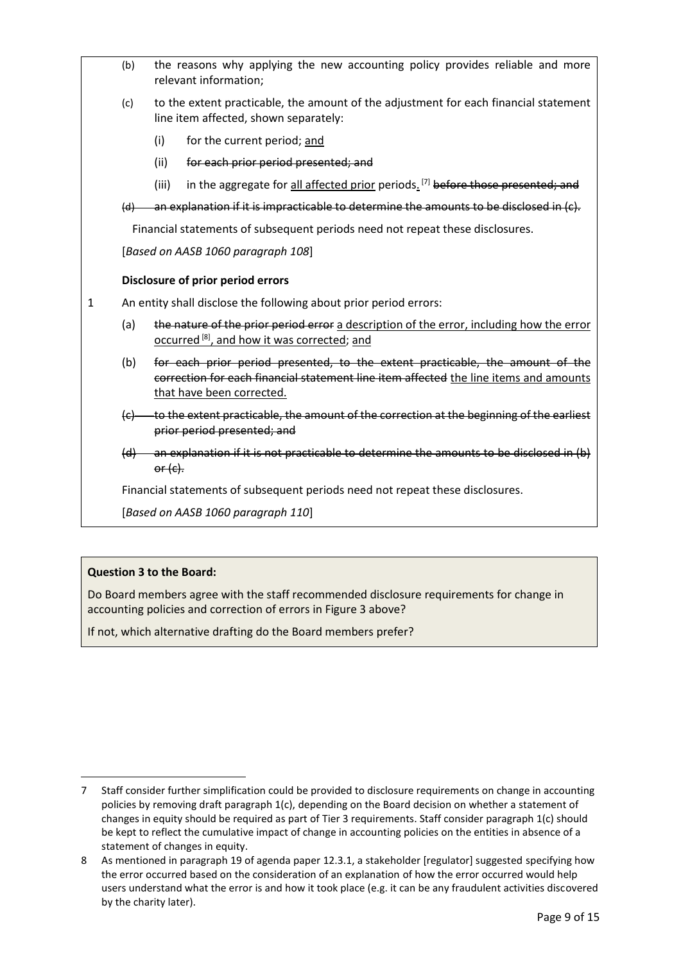|                                              | (b)                                                               | the reasons why applying the new accounting policy provides reliable and more<br>relevant information; |                                                                                                                                                                                                     |  |
|----------------------------------------------|-------------------------------------------------------------------|--------------------------------------------------------------------------------------------------------|-----------------------------------------------------------------------------------------------------------------------------------------------------------------------------------------------------|--|
|                                              | (c)                                                               |                                                                                                        | to the extent practicable, the amount of the adjustment for each financial statement<br>line item affected, shown separately:                                                                       |  |
|                                              |                                                                   | (i)                                                                                                    | for the current period; and                                                                                                                                                                         |  |
| (ii)<br>for each prior period presented; and |                                                                   |                                                                                                        |                                                                                                                                                                                                     |  |
|                                              |                                                                   | (iii)                                                                                                  | in the aggregate for all affected prior periods. <sup>[7]</sup> before those presented; and                                                                                                         |  |
|                                              | (d)                                                               |                                                                                                        | an explanation if it is impracticable to determine the amounts to be disclosed in (c).                                                                                                              |  |
|                                              |                                                                   |                                                                                                        | Financial statements of subsequent periods need not repeat these disclosures.                                                                                                                       |  |
|                                              |                                                                   |                                                                                                        | [Based on AASB 1060 paragraph 108]                                                                                                                                                                  |  |
|                                              |                                                                   |                                                                                                        | Disclosure of prior period errors                                                                                                                                                                   |  |
|                                              | An entity shall disclose the following about prior period errors: |                                                                                                        |                                                                                                                                                                                                     |  |
| 1                                            |                                                                   |                                                                                                        |                                                                                                                                                                                                     |  |
|                                              | (a)                                                               |                                                                                                        | the nature of the prior period error a description of the error, including how the error<br>occurred <sup>[8]</sup> , and how it was corrected; and                                                 |  |
|                                              | (b)                                                               |                                                                                                        | for each prior period presented, to the extent practicable, the amount of the<br>correction for each financial statement line item affected the line items and amounts<br>that have been corrected. |  |
|                                              |                                                                   |                                                                                                        | (c) to the extent practicable, the amount of the correction at the beginning of the earliest<br>prior period presented; and                                                                         |  |
|                                              |                                                                   | $or (c)$ .                                                                                             | $(d)$ an explanation if it is not practicable to determine the amounts to be disclosed in $(b)$                                                                                                     |  |
|                                              |                                                                   |                                                                                                        | Financial statements of subsequent periods need not repeat these disclosures.                                                                                                                       |  |

### **Question 3 to the Board:**

Do Board members agree with the staff recommended disclosure requirements for change in accounting policies and correction of errors in [Figure 3](#page-7-3) above?

If not, which alternative drafting do the Board members prefer?

<sup>7</sup> Staff consider further simplification could be provided to disclosure requirements on change in accounting policies by removing draft paragraph 1(c), depending on the Board decision on whether a statement of changes in equity should be required as part of Tier 3 requirements. Staff consider paragraph 1(c) should be kept to reflect the cumulative impact of change in accounting policies on the entities in absence of a statement of changes in equity.

<sup>8</sup> As mentioned in paragraph 19 of agenda paper 12.3.1, a stakeholder [regulator] suggested specifying how the error occurred based on the consideration of an explanation of how the error occurred would help users understand what the error is and how it took place (e.g. it can be any fraudulent activities discovered by the charity later).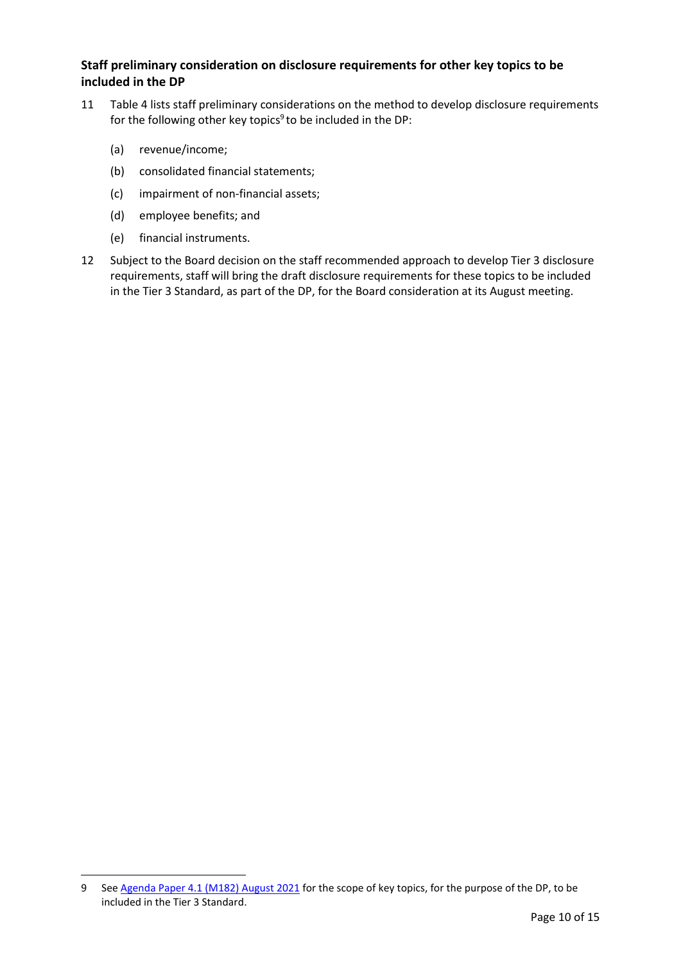# **Staff preliminary consideration on disclosure requirements for other key topics to be included in the DP**

- <span id="page-9-1"></span>11 Table 4 lists staff preliminary considerations on the method to develop disclosure requirements for the following other key topics<sup>9</sup> to be included in the DP:
	- (a) revenue/income;
	- (b) consolidated financial statements;
	- (c) impairment of non-financial assets;
	- (d) employee benefits; and
	- (e) financial instruments.
- <span id="page-9-0"></span>12 Subject to the Board decision on the staff recommended approach to develop Tier 3 disclosure requirements, staff will bring the draft disclosure requirements for these topics to be included in the Tier 3 Standard, as part of the DP, for the Board consideration at its August meeting.

<sup>9</sup> Se[e Agenda Paper 4.1 \(M182\) August 2021](https://www.aasb.gov.au/media/hd0kig2j/4-1_sp_covermemo_m182_pp.pdf) for the scope of key topics, for the purpose of the DP, to be included in the Tier 3 Standard.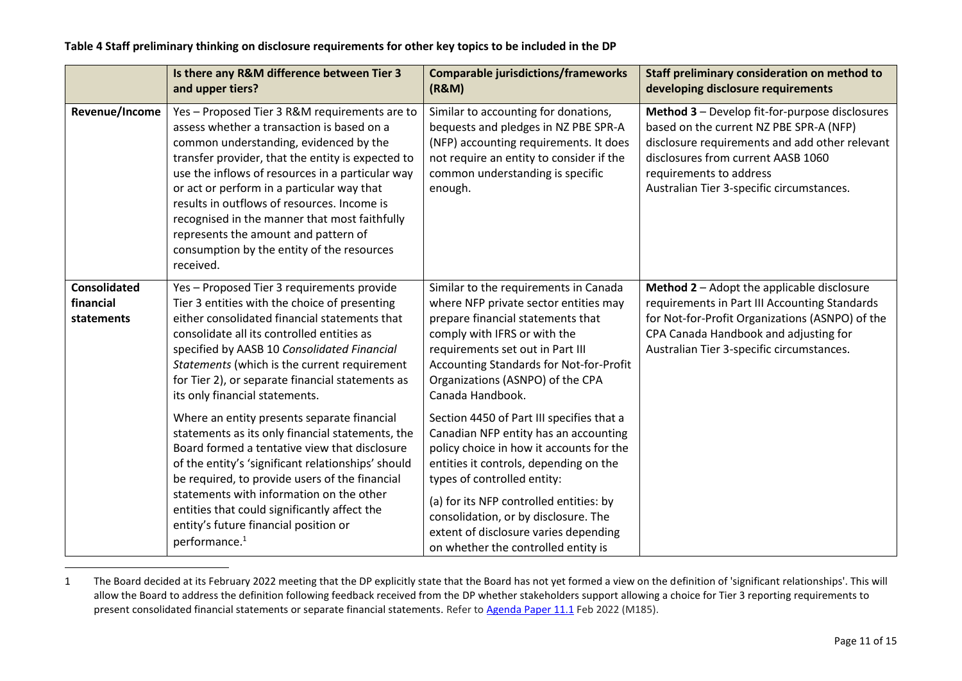# **Table 4 Staff preliminary thinking on disclosure requirements for other key topics to be included in the DP**

|                                                | Is there any R&M difference between Tier 3<br>and upper tiers?                                                                                                                                                                                                                                                                                                                                                                                                                                  | <b>Comparable jurisdictions/frameworks</b><br>(R&M)                                                                                                                                                                                                                                                                                                                        | Staff preliminary consideration on method to<br>developing disclosure requirements                                                                                                                                                                        |
|------------------------------------------------|-------------------------------------------------------------------------------------------------------------------------------------------------------------------------------------------------------------------------------------------------------------------------------------------------------------------------------------------------------------------------------------------------------------------------------------------------------------------------------------------------|----------------------------------------------------------------------------------------------------------------------------------------------------------------------------------------------------------------------------------------------------------------------------------------------------------------------------------------------------------------------------|-----------------------------------------------------------------------------------------------------------------------------------------------------------------------------------------------------------------------------------------------------------|
| Revenue/Income                                 | Yes - Proposed Tier 3 R&M requirements are to<br>assess whether a transaction is based on a<br>common understanding, evidenced by the<br>transfer provider, that the entity is expected to<br>use the inflows of resources in a particular way<br>or act or perform in a particular way that<br>results in outflows of resources. Income is<br>recognised in the manner that most faithfully<br>represents the amount and pattern of<br>consumption by the entity of the resources<br>received. | Similar to accounting for donations,<br>bequests and pledges in NZ PBE SPR-A<br>(NFP) accounting requirements. It does<br>not require an entity to consider if the<br>common understanding is specific<br>enough.                                                                                                                                                          | Method 3 - Develop fit-for-purpose disclosures<br>based on the current NZ PBE SPR-A (NFP)<br>disclosure requirements and add other relevant<br>disclosures from current AASB 1060<br>requirements to address<br>Australian Tier 3-specific circumstances. |
| <b>Consolidated</b><br>financial<br>statements | Yes - Proposed Tier 3 requirements provide<br>Tier 3 entities with the choice of presenting<br>either consolidated financial statements that<br>consolidate all its controlled entities as<br>specified by AASB 10 Consolidated Financial<br>Statements (which is the current requirement<br>for Tier 2), or separate financial statements as<br>its only financial statements.                                                                                                                 | Similar to the requirements in Canada<br>where NFP private sector entities may<br>prepare financial statements that<br>comply with IFRS or with the<br>requirements set out in Part III<br>Accounting Standards for Not-for-Profit<br>Organizations (ASNPO) of the CPA<br>Canada Handbook.                                                                                 | Method 2 - Adopt the applicable disclosure<br>requirements in Part III Accounting Standards<br>for Not-for-Profit Organizations (ASNPO) of the<br>CPA Canada Handbook and adjusting for<br>Australian Tier 3-specific circumstances.                      |
|                                                | Where an entity presents separate financial<br>statements as its only financial statements, the<br>Board formed a tentative view that disclosure<br>of the entity's 'significant relationships' should<br>be required, to provide users of the financial<br>statements with information on the other<br>entities that could significantly affect the<br>entity's future financial position or<br>performance. <sup>1</sup>                                                                      | Section 4450 of Part III specifies that a<br>Canadian NFP entity has an accounting<br>policy choice in how it accounts for the<br>entities it controls, depending on the<br>types of controlled entity:<br>(a) for its NFP controlled entities: by<br>consolidation, or by disclosure. The<br>extent of disclosure varies depending<br>on whether the controlled entity is |                                                                                                                                                                                                                                                           |

<sup>1</sup> The Board decided at its February 2022 meeting that the DP explicitly state that the Board has not yet formed a view on the definition of 'significant relationships'. This will allow the Board to address the definition following feedback received from the DP whether stakeholders support allowing a choice for Tier 3 reporting requirements to present consolidated financial statements or separate financial statements. Refer t[o Agenda Paper 11.1](https://www.aasb.gov.au/media/tuwll4gj/11-1_sp_cm_m185_pp.pdf) Feb 2022 (M185).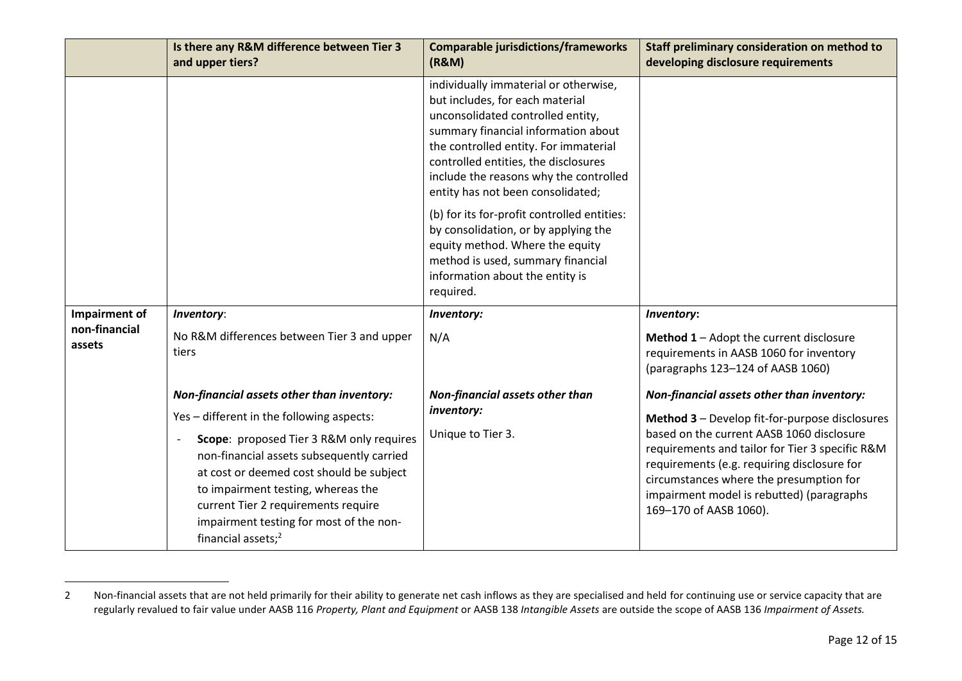|                         | Is there any R&M difference between Tier 3<br>and upper tiers?                                                                                                                                                                                                                                                          | <b>Comparable jurisdictions/frameworks</b><br>(R&M)                                                                                                                                                                                                                                                                  | Staff preliminary consideration on method to<br>developing disclosure requirements                                                                                                                                                                                                                              |
|-------------------------|-------------------------------------------------------------------------------------------------------------------------------------------------------------------------------------------------------------------------------------------------------------------------------------------------------------------------|----------------------------------------------------------------------------------------------------------------------------------------------------------------------------------------------------------------------------------------------------------------------------------------------------------------------|-----------------------------------------------------------------------------------------------------------------------------------------------------------------------------------------------------------------------------------------------------------------------------------------------------------------|
|                         |                                                                                                                                                                                                                                                                                                                         | individually immaterial or otherwise,<br>but includes, for each material<br>unconsolidated controlled entity,<br>summary financial information about<br>the controlled entity. For immaterial<br>controlled entities, the disclosures<br>include the reasons why the controlled<br>entity has not been consolidated; |                                                                                                                                                                                                                                                                                                                 |
|                         |                                                                                                                                                                                                                                                                                                                         | (b) for its for-profit controlled entities:<br>by consolidation, or by applying the<br>equity method. Where the equity<br>method is used, summary financial<br>information about the entity is<br>required.                                                                                                          |                                                                                                                                                                                                                                                                                                                 |
| Impairment of           | Inventory:                                                                                                                                                                                                                                                                                                              | Inventory:                                                                                                                                                                                                                                                                                                           | Inventory:                                                                                                                                                                                                                                                                                                      |
| non-financial<br>assets | No R&M differences between Tier 3 and upper<br>tiers                                                                                                                                                                                                                                                                    | N/A                                                                                                                                                                                                                                                                                                                  | Method 1 - Adopt the current disclosure<br>requirements in AASB 1060 for inventory<br>(paragraphs 123-124 of AASB 1060)                                                                                                                                                                                         |
|                         | Non-financial assets other than inventory:                                                                                                                                                                                                                                                                              | Non-financial assets other than                                                                                                                                                                                                                                                                                      | Non-financial assets other than inventory:                                                                                                                                                                                                                                                                      |
|                         | Yes - different in the following aspects:                                                                                                                                                                                                                                                                               | inventory:                                                                                                                                                                                                                                                                                                           | Method 3 - Develop fit-for-purpose disclosures<br>based on the current AASB 1060 disclosure<br>requirements and tailor for Tier 3 specific R&M<br>requirements (e.g. requiring disclosure for<br>circumstances where the presumption for<br>impairment model is rebutted) (paragraphs<br>169-170 of AASB 1060). |
|                         | Scope: proposed Tier 3 R&M only requires<br>$\overline{\phantom{a}}$<br>non-financial assets subsequently carried<br>at cost or deemed cost should be subject<br>to impairment testing, whereas the<br>current Tier 2 requirements require<br>impairment testing for most of the non-<br>financial assets; <sup>2</sup> | Unique to Tier 3.                                                                                                                                                                                                                                                                                                    |                                                                                                                                                                                                                                                                                                                 |

<sup>2</sup> Non-financial assets that are not held primarily for their ability to generate net cash inflows as they are specialised and held for continuing use or service capacity that are regularly revalued to fair value under AASB 116 *Property, Plant and Equipment* or AASB 138 *Intangible Assets* are outside the scope of AASB 136 *Impairment of Assets.*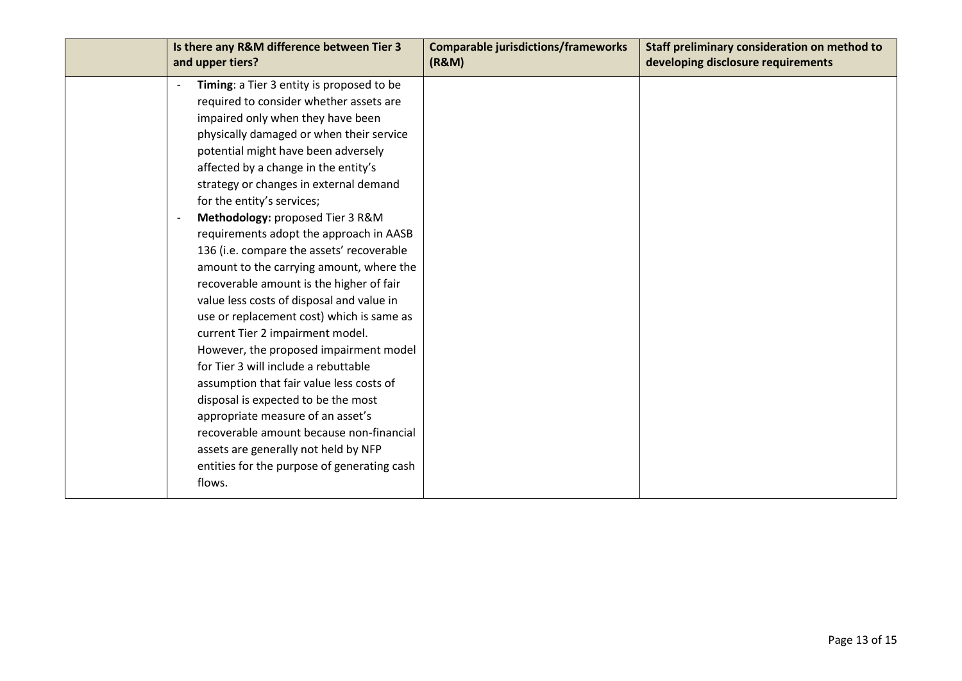| Is there any R&M difference between Tier 3<br>and upper tiers?                                                                                                                                                                                                                                                                                                                                                                                                                                                                                                                                                                                                                                                                                                                                                                                                                                                                                                                               | <b>Comparable jurisdictions/frameworks</b><br>(R&M) | Staff preliminary consideration on method to<br>developing disclosure requirements |
|----------------------------------------------------------------------------------------------------------------------------------------------------------------------------------------------------------------------------------------------------------------------------------------------------------------------------------------------------------------------------------------------------------------------------------------------------------------------------------------------------------------------------------------------------------------------------------------------------------------------------------------------------------------------------------------------------------------------------------------------------------------------------------------------------------------------------------------------------------------------------------------------------------------------------------------------------------------------------------------------|-----------------------------------------------------|------------------------------------------------------------------------------------|
| Timing: a Tier 3 entity is proposed to be<br>$\overline{\phantom{a}}$<br>required to consider whether assets are<br>impaired only when they have been<br>physically damaged or when their service<br>potential might have been adversely<br>affected by a change in the entity's<br>strategy or changes in external demand<br>for the entity's services;<br>Methodology: proposed Tier 3 R&M<br>$\overline{\phantom{a}}$<br>requirements adopt the approach in AASB<br>136 (i.e. compare the assets' recoverable<br>amount to the carrying amount, where the<br>recoverable amount is the higher of fair<br>value less costs of disposal and value in<br>use or replacement cost) which is same as<br>current Tier 2 impairment model.<br>However, the proposed impairment model<br>for Tier 3 will include a rebuttable<br>assumption that fair value less costs of<br>disposal is expected to be the most<br>appropriate measure of an asset's<br>recoverable amount because non-financial |                                                     |                                                                                    |
| assets are generally not held by NFP<br>entities for the purpose of generating cash<br>flows.                                                                                                                                                                                                                                                                                                                                                                                                                                                                                                                                                                                                                                                                                                                                                                                                                                                                                                |                                                     |                                                                                    |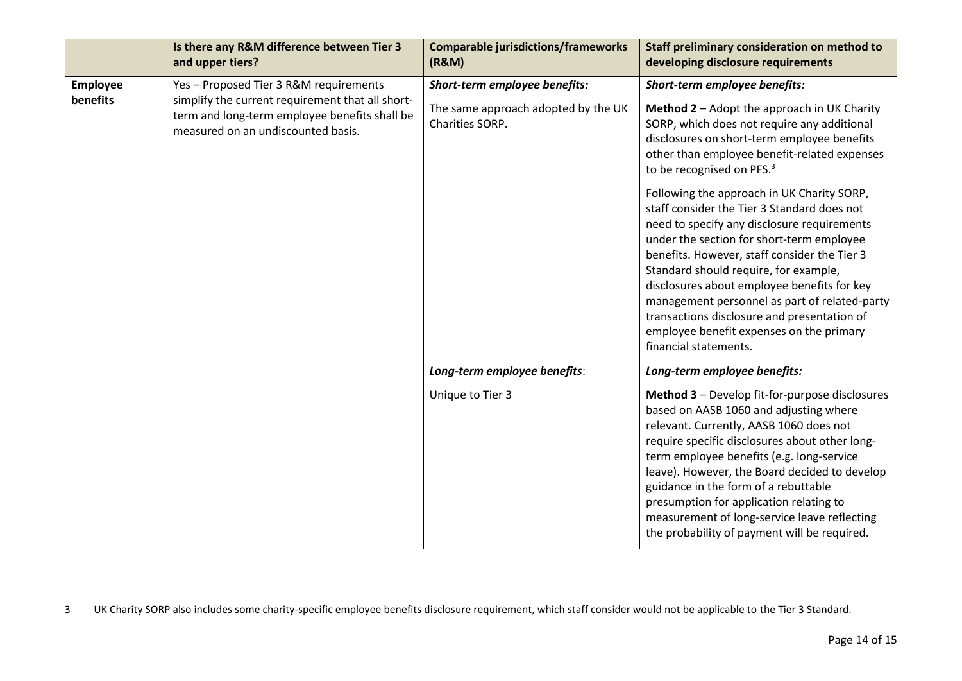|          | Is there any R&M difference between Tier 3<br>and upper tiers?                                                                          | <b>Comparable jurisdictions/frameworks</b><br>(R&M)    | Staff preliminary consideration on method to<br>developing disclosure requirements                                                                                                                                                                                                                                                                                                                                                                                                                 |
|----------|-----------------------------------------------------------------------------------------------------------------------------------------|--------------------------------------------------------|----------------------------------------------------------------------------------------------------------------------------------------------------------------------------------------------------------------------------------------------------------------------------------------------------------------------------------------------------------------------------------------------------------------------------------------------------------------------------------------------------|
| Employee | Yes - Proposed Tier 3 R&M requirements                                                                                                  | Short-term employee benefits:                          | Short-term employee benefits:                                                                                                                                                                                                                                                                                                                                                                                                                                                                      |
| benefits | simplify the current requirement that all short-<br>term and long-term employee benefits shall be<br>measured on an undiscounted basis. | The same approach adopted by the UK<br>Charities SORP. | Method 2 - Adopt the approach in UK Charity<br>SORP, which does not require any additional<br>disclosures on short-term employee benefits<br>other than employee benefit-related expenses<br>to be recognised on PFS. <sup>3</sup>                                                                                                                                                                                                                                                                 |
|          |                                                                                                                                         |                                                        | Following the approach in UK Charity SORP,<br>staff consider the Tier 3 Standard does not<br>need to specify any disclosure requirements<br>under the section for short-term employee<br>benefits. However, staff consider the Tier 3<br>Standard should require, for example,<br>disclosures about employee benefits for key<br>management personnel as part of related-party<br>transactions disclosure and presentation of<br>employee benefit expenses on the primary<br>financial statements. |
|          |                                                                                                                                         | Long-term employee benefits:                           | Long-term employee benefits:                                                                                                                                                                                                                                                                                                                                                                                                                                                                       |
|          |                                                                                                                                         | Unique to Tier 3                                       | Method 3 - Develop fit-for-purpose disclosures<br>based on AASB 1060 and adjusting where<br>relevant. Currently, AASB 1060 does not<br>require specific disclosures about other long-<br>term employee benefits (e.g. long-service<br>leave). However, the Board decided to develop<br>guidance in the form of a rebuttable<br>presumption for application relating to<br>measurement of long-service leave reflecting<br>the probability of payment will be required.                             |

<sup>3</sup> UK Charity SORP also includes some charity-specific employee benefits disclosure requirement, which staff consider would not be applicable to the Tier 3 Standard.